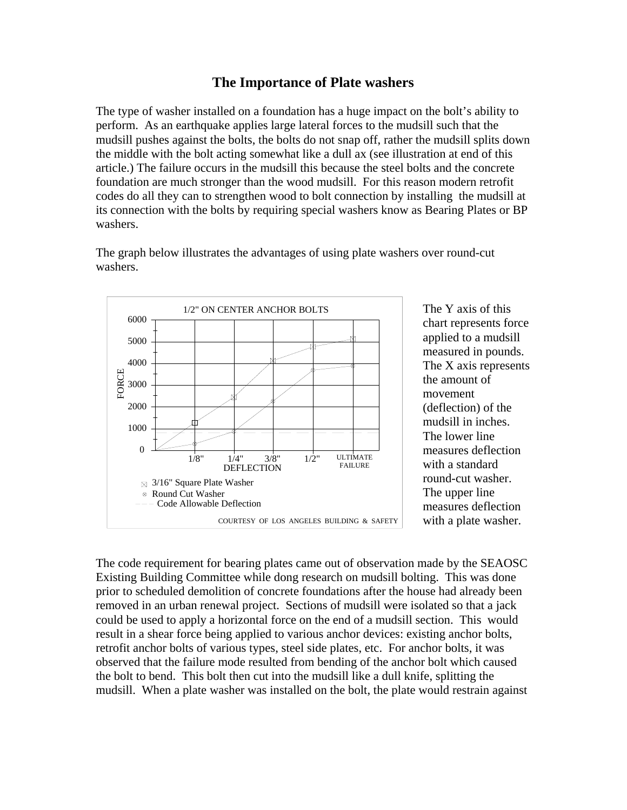## **The Importance of Plate washers**

The type of washer installed on a foundation has a huge impact on the bolt's ability to perform. As an earthquake applies large lateral forces to the mudsill such that the mudsill pushes against the bolts, the bolts do not snap off, rather the mudsill splits down the middle with the bolt acting somewhat like a dull ax (see illustration at end of this article.) The failure occurs in the mudsill this because the steel bolts and the concrete foundation are much stronger than the wood mudsill. For this reason modern retrofit codes do all they can to strengthen wood to bolt connection by installing the mudsill at its connection with the bolts by requiring special washers know as Bearing Plates or BP washers.

DEFLECTION 6000 5000 4000 3000 2000 1000 0 1/8" 1/4" 3/8" 1/2" ULTIMATE **FAILURE**  $\boxtimes$  3/16" Square Plate Washer Round Cut Washer 1/2" ON CENTER ANCHOR BOLTS COURTESY OF LOS ANGELES BUILDING & SAFETY - Code Allowable Deflection FO R C E

The Y axis of this chart represents force applied to a mudsill measured in pounds. The X axis r epresents the amount of movement (deflection) of the mudsill in inches. The lower line measures deflection with a standard round-cut washer. The upper line measures deflection with a plate washer.

The code requirement for bearing plates came out of observation made by the SEAOSC Existing Building Committee while dong research on mudsill bolting. This was done prior to scheduled demolition of concrete foundations after the house had already been removed in an urban renewal project. Sections of mudsill were isolated so that a jack could be used to apply a horizontal force on the end of a mudsill section. This would result in a shear force being applied to various anchor devices: existing anchor bolts, retrofit anchor bolts of various types, steel side plates, etc. For anchor bolts, it was observed that the failure mode resulted from bending of the anchor bolt which caused the bolt to bend. This bolt then cut into the mudsill like a dull knife, splitting the mudsill. When a plate washer was installed on the bolt, the plate would restrain against

The graph below illustrates the advantages of using plate washers over round-cut washers.